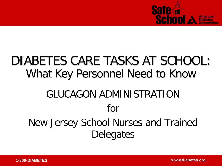

# DIABETES CARE TASKS AT SCHOOL: What Key Personnel Need to Know GLUCAGON ADMINISTRATION for New Jersey School Nurses and Trained **Delegates**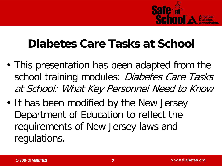

#### **Diabetes Care Tasks at School**

- This presentation has been adapted from the school training modules: Diabetes Care Tasks at School: What Key Personnel Need to Know
- It has been modified by the New Jersey Department of Education to reflect the requirements of New Jersey laws and regulations.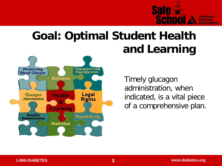

#### **Goal: Optimal Student Health and Learning**



Timely glucagon administration, when indicated, is a vital piece of a comprehensive plan.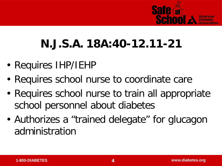

## **N.J.S.A. 18A:40-12.11-21**

- Requires IHP/IEHP
- Requires school nurse to coordinate care
- Requires school nurse to train all appropriate school personnel about diabetes
- Authorizes a "trained delegate" for glucagon administration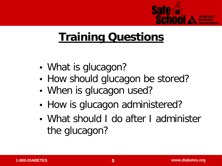

#### **Training Questions**

- What is glucagon?
- How should glucagon be stored?
- When is glucagon used?
- How is glucagon administered?
- What should I do after I administer the glucagon?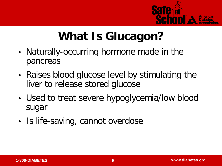

### **What Is Glucagon?**

- Naturally-occurring hormone made in the pancreas
- Raises blood glucose level by stimulating the liver to release stored glucose
- Used to treat severe hypoglycemia/low blood sugar
- Is life-saving, cannot overdose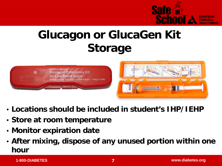

#### **Glucagon or GlucaGen Kit Storage**





- **Locations should be included in student's IHP/IEHP**
- **Store at room temperature**
- **Monitor expiration date**
- **After mixing, dispose of any unused portion within one hour**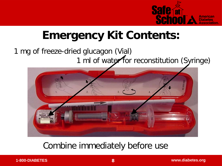

### **Emergency Kit Contents:**

#### 1 mg of freeze-dried glucagon (Vial) 1 ml of water for reconstitution (Syringe)



#### Combine immediately before use

**1-800-DIABETES 8 www.diabetes.org**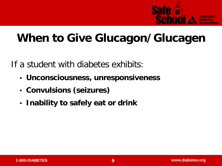

#### **When to Give Glucagon/Glucagen**

If a student with diabetes exhibits:

- **Unconsciousness, unresponsiveness**
- **Convulsions (seizures)**
- **Inability to safely eat or drink**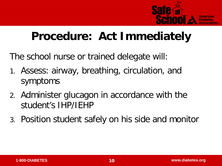

#### **Procedure: Act Immediately**

The school nurse or trained delegate will:

- 1. Assess: airway, breathing, circulation, and symptoms
- 2. Administer glucagon in accordance with the student's IHP/IEHP
- 3. Position student safely on his side and monitor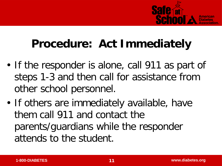

### **Procedure: Act Immediately**

- If the responder is alone, call 911 as part of steps 1-3 and then call for assistance from other school personnel.
- If others are immediately available, have them call 911 and contact the parents/guardians while the responder attends to the student.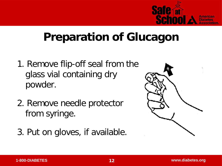

#### **Preparation of Glucagon**

- 1. Remove flip-off seal from the glass vial containing dry powder.
- 2. Remove needle protector from syringe.
- 3. Put on gloves, if available.

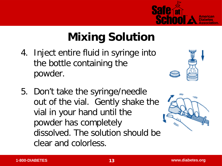

## **Mixing Solution**

- 4. Inject entire fluid in syringe into the bottle containing the powder.
- 5. Don't take the syringe/needle out of the vial. Gently shake the vial in your hand until the powder has completely dissolved. The solution should be clear and colorless.

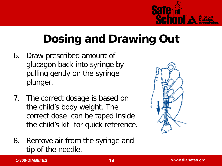

## **Dosing and Drawing Out**

- 6. Draw prescribed amount of glucagon back into syringe by pulling gently on the syringe plunger.
- 7. The correct dosage is based on the child's body weight. The correct dose can be taped inside the child's kit for quick reference.
- 8. Remove air from the syringe and tip of the needle.

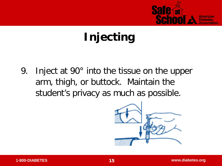

## **Injecting**

9. Inject at 90° into the tissue on the upper arm, thigh, or buttock. Maintain the student's privacy as much as possible.

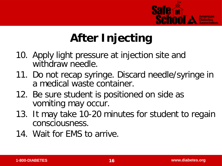

## **After Injecting**

- 10. Apply light pressure at injection site and withdraw needle.
- 11. Do not recap syringe. Discard needle/syringe in a medical waste container.
- 12. Be sure student is positioned on side as vomiting may occur.
- 13. It may take 10-20 minutes for student to regain consciousness.
- 14. Wait for EMS to arrive.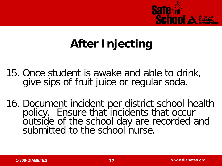

## **After Injecting**

- 15. Once student is awake and able to drink, give sips of fruit juice or regular soda.
- 16. Document incident per district school health policy. Ensure that incidents that occur outside of the school day are recorded and submitted to the school nurse.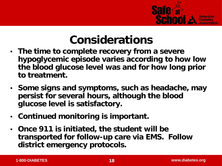

#### **Considerations**

- **The time to complete recovery from a severe hypoglycemic episode varies according to how low the blood glucose level was and for how long prior to treatment.**
- **Some signs and symptoms, such as headache, may persist for several hours, although the blood glucose level is satisfactory.**
- **Continued monitoring is important.**
- **Once 911 is initiated, the student will be transported for follow-up care via EMS. Follow district emergency protocols.**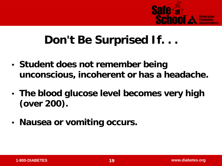

#### **Don't Be Surprised If. . .**

- **Student does not remember being unconscious, incoherent or has a headache.**
- **The blood glucose level becomes very high (over 200).**
- **Nausea or vomiting occurs.**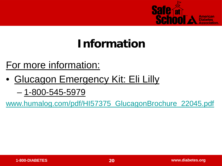

## **Information**

#### For more information:

• Glucagon Emergency Kit: Eli Lilly

– 1-800-545-5979

[www.humalog.com/pdf/HI57375\\_GlucagonBrochure\\_22045.pdf](http://www.humalog.com/pdf/HI57375_GlucagonBrochure_22045.pdf)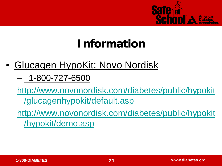

## **Information**

- Glucagen HypoKit: Novo Nordisk
	- 1-800-727-6500

[http://www.novonordisk.com/diabetes/public/hypokit](http://www.novonordisk.com/diabetes/public/hypokit/glucagenhypokit/default.asp) [/glucagenhypokit/default.asp](http://www.novonordisk.com/diabetes/public/hypokit/glucagenhypokit/default.asp)

[http://www.novonordisk.com/diabetes/public/hypokit](http://www.novonordisk.com/diabetes/public/hypokit/hypokit/demo.asp) [/hypokit/demo.asp](http://www.novonordisk.com/diabetes/public/hypokit/hypokit/demo.asp)